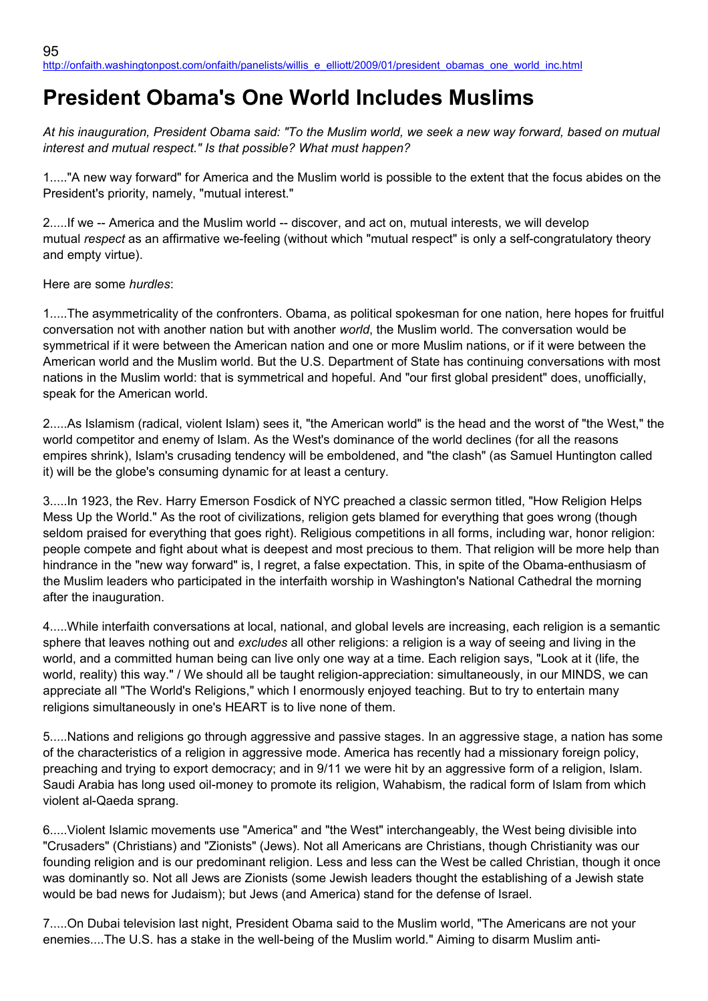## **President Obama's One World Includes Muslims**

*At his inauguration, President Obama said: "To the Muslim world, we seek a new way forward, based on mutual interest and mutual respect." Is that possible? What must happen?*

1....."A new way forward" for America and the Muslim world is possible to the extent that the focus abides on the President's priority, namely, "mutual interest."

2.....If we -- America and the Muslim world -- discover, and act on, mutual interests, we will develop mutual *respect* as an affirmative we-feeling (without which "mutual respect" is only a self-congratulatory theory and empty virtue).

Here are some *hurdles*:

1.....The asymmetricality of the confronters. Obama, as political spokesman for one nation, here hopes for fruitful conversation not with another nation but with another *world*, the Muslim world. The conversation would be symmetrical if it were between the American nation and one or more Muslim nations, or if it were between the American world and the Muslim world. But the U.S. Department of State has continuing conversations with most nations in the Muslim world: that is symmetrical and hopeful. And "our first global president" does, unofficially, speak for the American world.

2.....As Islamism (radical, violent Islam) sees it, "the American world" is the head and the worst of "the West," the world competitor and enemy of Islam. As the West's dominance of the world declines (for all the reasons empires shrink), Islam's crusading tendency will be emboldened, and "the clash" (as Samuel Huntington called it) will be the globe's consuming dynamic for at least a century.

3.....In 1923, the Rev. Harry Emerson Fosdick of NYC preached a classic sermon titled, "How Religion Helps Mess Up the World." As the root of civilizations, religion gets blamed for everything that goes wrong (though seldom praised for everything that goes right). Religious competitions in all forms, including war, honor religion: people compete and fight about what is deepest and most precious to them. That religion will be more help than hindrance in the "new way forward" is, I regret, a false expectation. This, in spite of the Obama-enthusiasm of the Muslim leaders who participated in the interfaith worship in Washington's National Cathedral the morning after the inauguration.

4.....While interfaith conversations at local, national, and global levels are increasing, each religion is a semantic sphere that leaves nothing out and *excludes* all other religions: a religion is a way of seeing and living in the world, and a committed human being can live only one way at a time. Each religion says, "Look at it (life, the world, reality) this way." / We should all be taught religion-appreciation: simultaneously, in our MINDS, we can appreciate all "The World's Religions," which I enormously enjoyed teaching. But to try to entertain many religions simultaneously in one's HEART is to live none of them.

5.....Nations and religions go through aggressive and passive stages. In an aggressive stage, a nation has some of the characteristics of a religion in aggressive mode. America has recently had a missionary foreign policy, preaching and trying to export democracy; and in 9/11 we were hit by an aggressive form of a religion, Islam. Saudi Arabia has long used oil-money to promote its religion, Wahabism, the radical form of Islam from which violent al-Qaeda sprang.

6.....Violent Islamic movements use "America" and "the West" interchangeably, the West being divisible into "Crusaders" (Christians) and "Zionists" (Jews). Not all Americans are Christians, though Christianity was our founding religion and is our predominant religion. Less and less can the West be called Christian, though it once was dominantly so. Not all Jews are Zionists (some Jewish leaders thought the establishing of a Jewish state would be bad news for Judaism); but Jews (and America) stand for the defense of Israel.

7.....On Dubai television last night, President Obama said to the Muslim world, "The Americans are not your enemies....The U.S. has a stake in the well-being of the Muslim world." Aiming to disarm Muslim anti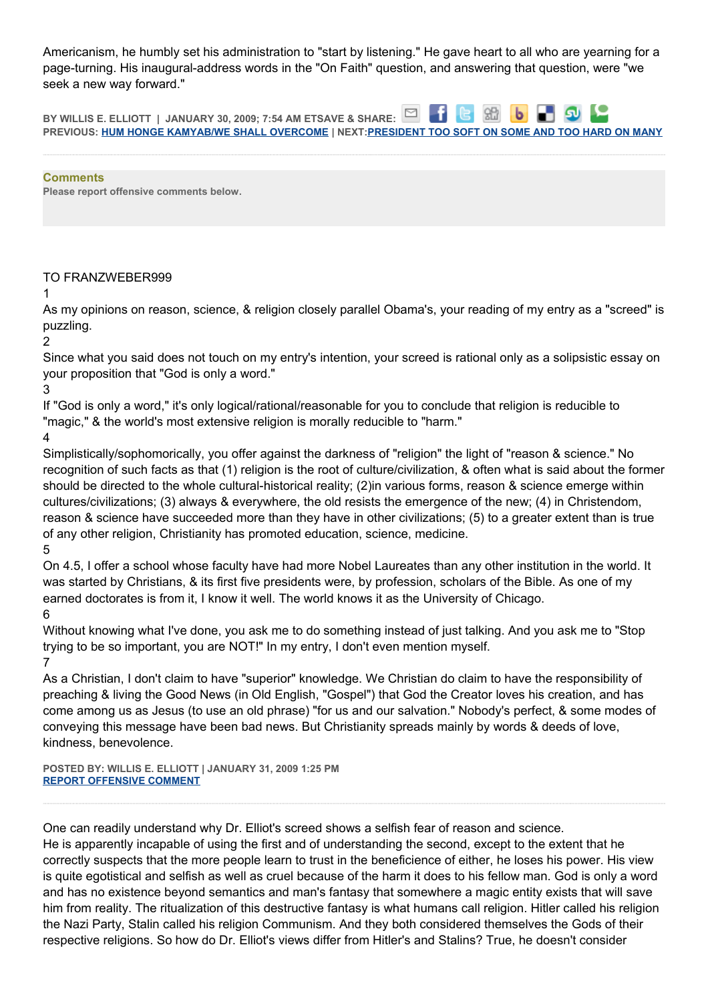Americanism, he humbly set his administration to "start by listening." He gave heart to all who are yearning for a page-turning. His inaugural-address words in the "On Faith" question, and answering that question, were "we seek a new way forward."

⊠ **BY WILLIS E. ELLIOTT | JANUARY 30, 2009; 7:54 AM ETSAVE & SHARE: PREVIOUS: [HUM HONGE KAMYAB/WE SHALL OVERCOME](http://onfaith.washingtonpost.com/onfaith/panelists/eboo_patel/2009/01/todays_guest_blogger_is_jenan.html) | NEXT[:PRESIDENT TOO SOFT ON SOME AND TOO HARD ON MANY](http://onfaith.washingtonpost.com/onfaith/panelists/brad_hirschfield/2009/01/president_too_soft_on_some_and.html)**

**Comments Please report offensive comments below.**

## TO FRANZWEBER999

1

As my opinions on reason, science, & religion closely parallel Obama's, your reading of my entry as a "screed" is puzzling.

2

Since what you said does not touch on my entry's intention, your screed is rational only as a solipsistic essay on your proposition that "God is only a word."

3

If "God is only a word," it's only logical/rational/reasonable for you to conclude that religion is reducible to "magic," & the world's most extensive religion is morally reducible to "harm."

4

Simplistically/sophomorically, you offer against the darkness of "religion" the light of "reason & science." No recognition of such facts as that (1) religion is the root of culture/civilization, & often what is said about the former should be directed to the whole cultural-historical reality; (2)in various forms, reason & science emerge within cultures/civilizations; (3) always & everywhere, the old resists the emergence of the new; (4) in Christendom, reason & science have succeeded more than they have in other civilizations; (5) to a greater extent than is true of any other religion, Christianity has promoted education, science, medicine.

5

On 4.5, I offer a school whose faculty have had more Nobel Laureates than any other institution in the world. It was started by Christians, & its first five presidents were, by profession, scholars of the Bible. As one of my earned doctorates is from it, I know it well. The world knows it as the University of Chicago.

6

Without knowing what I've done, you ask me to do something instead of just talking. And you ask me to "Stop trying to be so important, you are NOT!" In my entry, I don't even mention myself. 7

As a Christian, I don't claim to have "superior" knowledge. We Christian do claim to have the responsibility of preaching & living the Good News (in Old English, "Gospel") that God the Creator loves his creation, and has come among us as Jesus (to use an old phrase) "for us and our salvation." Nobody's perfect, & some modes of conveying this message have been bad news. But Christianity spreads mainly by words & deeds of love, kindness, benevolence.

**POSTED BY: WILLIS E. ELLIOTT | JANUARY 31, 2009 1:25 PM [REPORT OFFENSIVE COMMENT](mailto:blogs@washingtonpost.com?subject=On%20Faith%20Panelists%20Blog%20%20%7C%20%20Willis%20E.%20Elliott%20%20%7C%20%20President%20Obama)**

One can readily understand why Dr. Elliot's screed shows a selfish fear of reason and science.

He is apparently incapable of using the first and of understanding the second, except to the extent that he correctly suspects that the more people learn to trust in the beneficience of either, he loses his power. His view is quite egotistical and selfish as well as cruel because of the harm it does to his fellow man. God is only a word and has no existence beyond semantics and man's fantasy that somewhere a magic entity exists that will save him from reality. The ritualization of this destructive fantasy is what humans call religion. Hitler called his religion the Nazi Party, Stalin called his religion Communism. And they both considered themselves the Gods of their respective religions. So how do Dr. Elliot's views differ from Hitler's and Stalins? True, he doesn't consider